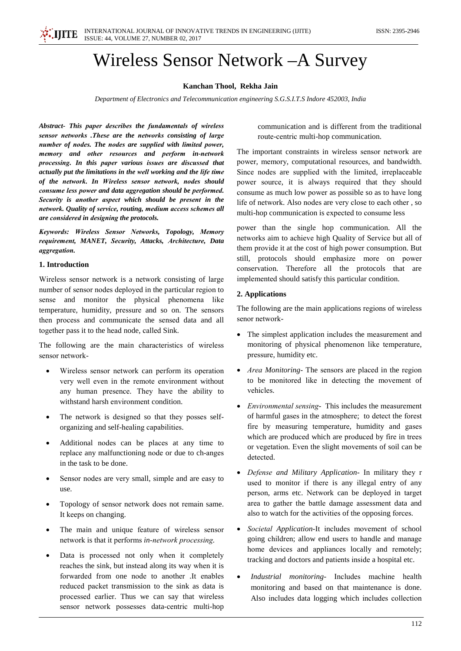

# **Wireless Sensor Network - A Survey**

## Kanchan Thool, Rekha Jain

Department of Electronics and Telecommunication engineering S.G.S.I.T.S Indore 452003, India

Abstract- This paper describes the fundamentals of wireless sensor networks .These are the networks consisting of large number of nodes. The nodes are supplied with limited power, memory and other resources and perform in-network processing. In this paper various issues are discussed that actually put the limitations in the well working and the life time of the network. In Wireless sensor network, nodes should consume less power and data aggregation should be performed. Security is another aspect which should be present in the network. Quality of service, routing, medium access schemes all are considered in designing the protocols.

Keywords: Wireless Sensor Networks, Topology, Memory requirement, MANET, Security, Attacks, Architecture, Data aggregation.

#### 1. Introduction

Wireless sensor network is a network consisting of large number of sensor nodes deployed in the particular region to sense and monitor the physical phenomena like temperature, humidity, pressure and so on. The sensors then process and communicate the sensed data and all together pass it to the head node, called Sink.

The following are the main characteristics of wireless sensor network-

- Wireless sensor network can perform its operation  $\bullet$ very well even in the remote environment without any human presence. They have the ability to withstand harsh environment condition.
- The network is designed so that they posses self- $\bullet$ organizing and self-healing capabilities.
- Additional nodes can be places at any time to replace any malfunctioning node or due to ch-anges in the task to be done.
- Sensor nodes are very small, simple and are easy to  $\bullet$ use.
- Topology of sensor network does not remain same.  $\bullet$ It keeps on changing.
- The main and unique feature of wireless sensor network is that it performs in-network processing.
- $\bullet$ Data is processed not only when it completely reaches the sink, but instead along its way when it is forwarded from one node to another .It enables reduced packet transmission to the sink as data is processed earlier. Thus we can say that wireless sensor network possesses data-centric multi-hop

communication and is different from the traditional route-centric multi-hop communication.

The important constraints in wireless sensor network are power, memory, computational resources, and bandwidth. Since nodes are supplied with the limited, irreplaceable power source, it is always required that they should consume as much low power as possible so as to have long life of network. Also nodes are very close to each other, so multi-hop communication is expected to consume less

power than the single hop communication. All the networks aim to achieve high Quality of Service but all of them provide it at the cost of high power consumption. But still, protocols should emphasize more on power conservation. Therefore all the protocols that are implemented should satisfy this particular condition.

## 2. Applications

The following are the main applications regions of wireless senor network-

- The simplest application includes the measurement and monitoring of physical phenomenon like temperature, pressure, humidity etc.
- Area Monitoring-The sensors are placed in the region to be monitored like in detecting the movement of vehicles.
- *Environmental sensing* This includes the measurement of harmful gases in the atmosphere; to detect the forest fire by measuring temperature, humidity and gases which are produced which are produced by fire in trees or vegetation. Even the slight movements of soil can be detected.
- Defense and Military Application- In military they r used to monitor if there is any illegal entry of any person, arms etc. Network can be deployed in target area to gather the battle damage assessment data and also to watch for the activities of the opposing forces.
- Societal Application-It includes movement of school going children; allow end users to handle and manage home devices and appliances locally and remotely; tracking and doctors and patients inside a hospital etc.
- Industrial monitoring- Includes machine health  $\bullet$ monitoring and based on that maintenance is done. Also includes data logging which includes collection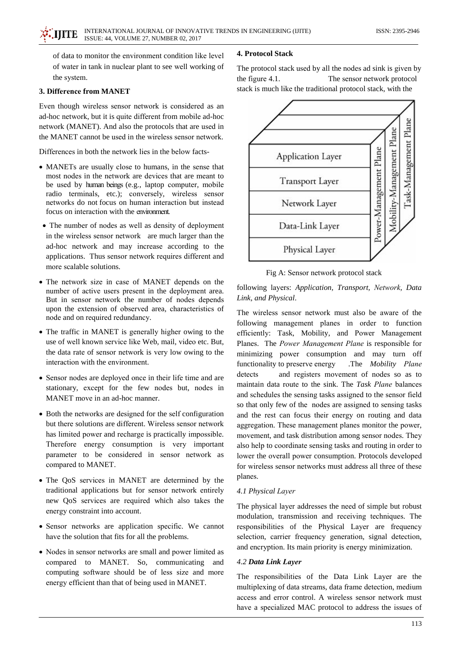of data to monitor the environment condition like level of water in tank in nuclear plant to see well working of the system.

## 3. Difference from MANET

Even though wireless sensor network is considered as an ad-hoc network, but it is quite different from mobile ad-hoc network (MANET). And also the protocols that are used in the MANET cannot be used in the wireless sensor network.

Differences in both the network lies in the below facts-

- MANETs are usually close to humans, in the sense that most nodes in the network are devices that are meant to be used by human beings (e.g., laptop computer, mobile radio terminals, etc.); conversely, wireless sensor networks do not focus on human interaction but instead focus on interaction with the environment
- The number of nodes as well as density of deployment in the wireless sensor network are much larger than the ad-hoc network and may increase according to the applications. Thus sensor network requires different and more scalable solutions.
- The network size in case of MANET depends on the number of active users present in the deployment area. But in sensor network the number of nodes depends upon the extension of observed area, characteristics of node and on required redundancy.
- The traffic in MANET is generally higher owing to the use of well known service like Web, mail, video etc. But, the data rate of sensor network is very low owing to the interaction with the environment.
- Sensor nodes are deployed once in their life time and are stationary, except for the few nodes but, nodes in MANET move in an ad-hoc manner.
- Both the networks are designed for the self configuration but there solutions are different. Wireless sensor network has limited power and recharge is practically impossible. Therefore energy consumption is very important parameter to be considered in sensor network as compared to MANET.
- The QoS services in MANET are determined by the traditional applications but for sensor network entirely new QoS services are required which also takes the energy constraint into account.
- Sensor networks are application specific. We cannot have the solution that fits for all the problems.
- Nodes in sensor networks are small and power limited as compared to MANET. So, communicating and computing software should be of less size and more energy efficient than that of being used in MANET.

#### **4. Protocol Stack**

The protocol stack used by all the nodes ad sink is given by the figure 4.1. The sensor network protocol stack is much like the traditional protocol stack, with the



Fig A: Sensor network protocol stack

following layers: Application, Transport, Network, Data Link, and Physical.

The wireless sensor network must also be aware of the following management planes in order to function efficiently: Task, Mobility, and Power Management Planes. The Power Management Plane is responsible for minimizing power consumption and may turn off functionality to preserve energy .The Mobility Plane and registers movement of nodes so as to detects maintain data route to the sink. The Task Plane balances and schedules the sensing tasks assigned to the sensor field so that only few of the nodes are assigned to sensing tasks and the rest can focus their energy on routing and data aggregation. These management planes monitor the power, movement, and task distribution among sensor nodes. They also help to coordinate sensing tasks and routing in order to lower the overall power consumption. Protocols developed for wireless sensor networks must address all three of these planes.

#### 4.1 Physical Layer

The physical layer addresses the need of simple but robust modulation, transmission and receiving techniques. The responsibilities of the Physical Layer are frequency selection, carrier frequency generation, signal detection, and encryption. Its main priority is energy minimization.

#### 4.2 Data Link Layer

The responsibilities of the Data Link Layer are the multiplexing of data streams, data frame detection, medium access and error control. A wireless sensor network must have a specialized MAC protocol to address the issues of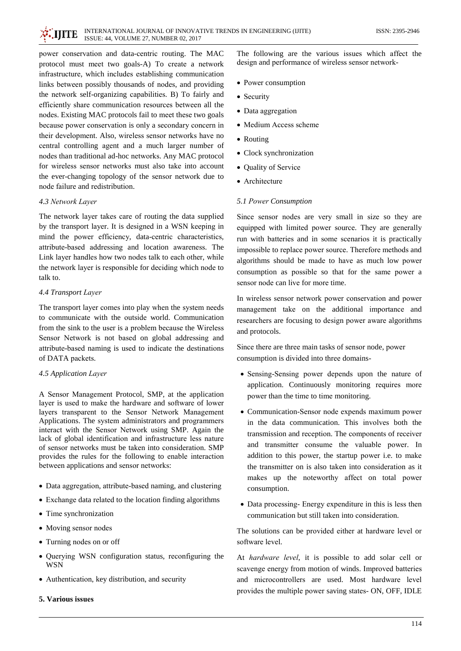power conservation and data-centric routing. The MAC protocol must meet two goals-A) To create a network infrastructure, which includes establishing communication links between possibly thousands of nodes, and providing the network self-organizing capabilities. B) To fairly and efficiently share communication resources between all the nodes. Existing MAC protocols fail to meet these two goals because power conservation is only a secondary concern in their development. Also, wireless sensor networks have no central controlling agent and a much larger number of nodes than traditional ad-hoc networks. Any MAC protocol for wireless sensor networks must also take into account the ever-changing topology of the sensor network due to node failure and redistribution.

## 4.3 Network Laver

The network layer takes care of routing the data supplied by the transport layer. It is designed in a WSN keeping in mind the power efficiency, data-centric characteristics, attribute-based addressing and location awareness. The Link layer handles how two nodes talk to each other, while the network layer is responsible for deciding which node to talk to.

## 4.4 Transport Laver

The transport layer comes into play when the system needs to communicate with the outside world. Communication from the sink to the user is a problem because the Wireless Sensor Network is not based on global addressing and attribute-based naming is used to indicate the destinations of DATA packets.

## 4.5 Application Layer

A Sensor Management Protocol, SMP, at the application layer is used to make the hardware and software of lower layers transparent to the Sensor Network Management Applications. The system administrators and programmers interact with the Sensor Network using SMP. Again the lack of global identification and infrastructure less nature of sensor networks must be taken into consideration. SMP provides the rules for the following to enable interaction between applications and sensor networks:

- Data aggregation, attribute-based naming, and clustering
- Exchange data related to the location finding algorithms
- Time synchronization
- Moving sensor nodes
- Turning nodes on or off
- Querying WSN configuration status, reconfiguring the **WSN**
- Authentication, key distribution, and security
- 5. Various issues

The following are the various issues which affect the design and performance of wireless sensor network-

- Power consumption
- Security
- Data aggregation
- Medium Access scheme
- Routing
- Clock synchronization
- Quality of Service
- Architecture

## 5.1 Power Consumption

Since sensor nodes are very small in size so they are equipped with limited power source. They are generally run with batteries and in some scenarios it is practically impossible to replace power source. Therefore methods and algorithms should be made to have as much low power consumption as possible so that for the same power a sensor node can live for more time.

In wireless sensor network power conservation and power management take on the additional importance and researchers are focusing to design power aware algorithms and protocols.

Since there are three main tasks of sensor node, power consumption is divided into three domains-

- Sensing-Sensing power depends upon the nature of application. Continuously monitoring requires more power than the time to time monitoring.
- Communication-Sensor node expends maximum power in the data communication. This involves both the transmission and reception. The components of receiver and transmitter consume the valuable power. In addition to this power, the startup power i.e. to make the transmitter on is also taken into consideration as it makes up the noteworthy affect on total power consumption.
- Data processing- Energy expenditure in this is less then communication but still taken into consideration.

The solutions can be provided either at hardware level or software level.

At *hardware level*, it is possible to add solar cell or scavenge energy from motion of winds. Improved batteries and microcontrollers are used. Most hardware level provides the multiple power saving states- ON, OFF, IDLE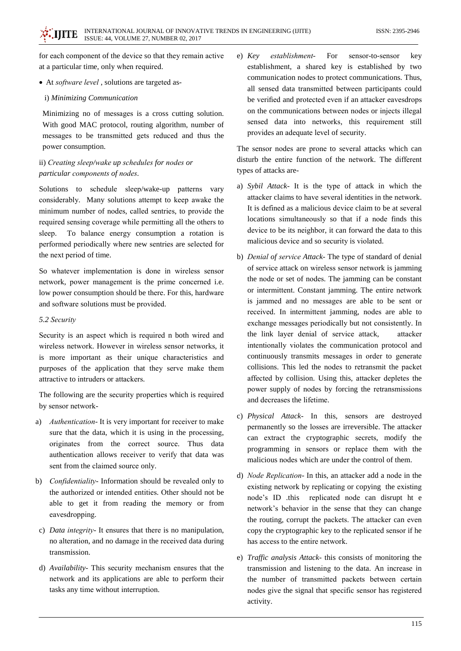for each component of the device so that they remain active at a particular time, only when required.

• At *software level*, solutions are targeted as-

#### i) Minimizing Communication

Minimizing no of messages is a cross cutting solution. With good MAC protocol, routing algorithm, number of messages to be transmitted gets reduced and thus the power consumption.

# ii) Creating sleep/wake up schedules for nodes or particular components of nodes.

Solutions to schedule sleep/wake-up patterns vary considerably. Many solutions attempt to keep awake the minimum number of nodes, called sentries, to provide the required sensing coverage while permitting all the others to To balance energy consumption a rotation is sleep. performed periodically where new sentries are selected for the next period of time.

So whatever implementation is done in wireless sensor network, power management is the prime concerned *i.e.* low power consumption should be there. For this, hardware and software solutions must be provided.

## 5.2 Security

Security is an aspect which is required n both wired and wireless network. However in wireless sensor networks, it is more important as their unique characteristics and purposes of the application that they serve make them attractive to intruders or attackers.

The following are the security properties which is required by sensor network-

- a) Authentication-It is very important for receiver to make sure that the data, which it is using in the processing, originates from the correct source. Thus data authentication allows receiver to verify that data was sent from the claimed source only.
- b) *Confidentiality* Information should be revealed only to the authorized or intended entities. Other should not be able to get it from reading the memory or from eavesdropping.
- c) Data integrity- It ensures that there is no manipulation, no alteration, and no damage in the received data during transmission.
- d) Availability- This security mechanism ensures that the network and its applications are able to perform their tasks any time without interruption.

 $e)$  Key establishment-For sensor-to-sensor key establishment, a shared key is established by two communication nodes to protect communications. Thus, all sensed data transmitted between participants could be verified and protected even if an attacker eavesdrops on the communications between nodes or injects illegal sensed data into networks, this requirement still provides an adequate level of security.

The sensor nodes are prone to several attacks which can disturb the entire function of the network. The different types of attacks are-

- a) Sybil Attack- It is the type of attack in which the attacker claims to have several identities in the network. It is defined as a malicious device claim to be at several locations simultaneously so that if a node finds this device to be its neighbor, it can forward the data to this malicious device and so security is violated.
- b) Denial of service Attack-The type of standard of denial of service attack on wireless sensor network is jamming the node or set of nodes. The jamming can be constant or intermittent. Constant jamming. The entire network is jammed and no messages are able to be sent or received. In intermittent jamming, nodes are able to exchange messages periodically but not consistently. In the link layer denial of service attack, attacker intentionally violates the communication protocol and continuously transmits messages in order to generate collisions. This led the nodes to retransmit the packet affected by collision. Using this, attacker depletes the power supply of nodes by forcing the retransmissions and decreases the lifetime.
- c) Physical Attack- In this, sensors are destroyed permanently so the losses are irreversible. The attacker can extract the cryptographic secrets, modify the programming in sensors or replace them with the malicious nodes which are under the control of them.
- d) Node Replication- In this, an attacker add a node in the existing network by replicating or copying the existing node's ID .this replicated node can disrupt ht e network's behavior in the sense that they can change the routing, corrupt the packets. The attacker can even copy the cryptographic key to the replicated sensor if he has access to the entire network.
- e) *Traffic analysis Attack* this consists of monitoring the transmission and listening to the data. An increase in the number of transmitted packets between certain nodes give the signal that specific sensor has registered activity.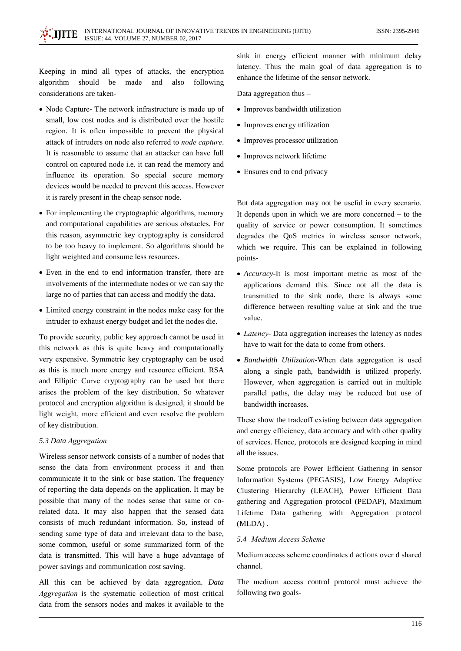Keeping in mind all types of attacks, the encryption algorithm should be made and also following considerations are taken-

- Node Capture- The network infrastructure is made up of small, low cost nodes and is distributed over the hostile region. It is often impossible to prevent the physical attack of intruders on node also referred to node capture. It is reasonable to assume that an attacker can have full control on captured node i.e. it can read the memory and influence its operation. So special secure memory devices would be needed to prevent this access. However it is rarely present in the cheap sensor node.
- For implementing the cryptographic algorithms, memory and computational capabilities are serious obstacles. For this reason, asymmetric key cryptography is considered to be too heavy to implement. So algorithms should be light weighted and consume less resources.
- Even in the end to end information transfer, there are involvements of the intermediate nodes or we can say the large no of parties that can access and modify the data.
- Limited energy constraint in the nodes make easy for the intruder to exhaust energy budget and let the nodes die.

To provide security, public key approach cannot be used in this network as this is quite heavy and computationally very expensive. Symmetric key cryptography can be used as this is much more energy and resource efficient. RSA and Elliptic Curve cryptography can be used but there arises the problem of the key distribution. So whatever protocol and encryption algorithm is designed, it should be light weight, more efficient and even resolve the problem of key distribution.

#### 5.3 Data Aggregation

Wireless sensor network consists of a number of nodes that sense the data from environment process it and then communicate it to the sink or base station. The frequency of reporting the data depends on the application. It may be possible that many of the nodes sense that same or corelated data. It may also happen that the sensed data consists of much redundant information. So, instead of sending same type of data and irrelevant data to the base, some common, useful or some summarized form of the data is transmitted. This will have a huge advantage of power savings and communication cost saving.

All this can be achieved by data aggregation. Data Aggregation is the systematic collection of most critical data from the sensors nodes and makes it available to the sink in energy efficient manner with minimum delay latency. Thus the main goal of data aggregation is to enhance the lifetime of the sensor network.

Data aggregation thus -

- Improves bandwidth utilization
- Improves energy utilization
- Improves processor utilization
- Improves network lifetime
- Ensures end to end privacy

But data aggregation may not be useful in every scenario. It depends upon in which we are more concerned  $-$  to the quality of service or power consumption. It sometimes degrades the QoS metrics in wireless sensor network, which we require. This can be explained in following points-

- Accuracy-It is most important metric as most of the applications demand this. Since not all the data is transmitted to the sink node, there is always some difference between resulting value at sink and the true value.
- Latency- Data aggregation increases the latency as nodes have to wait for the data to come from others.
- Bandwidth Utilization-When data aggregation is used along a single path, bandwidth is utilized properly. However, when aggregation is carried out in multiple parallel paths, the delay may be reduced but use of bandwidth increases.

These show the tradeoff existing between data aggregation and energy efficiency, data accuracy and with other quality of services. Hence, protocols are designed keeping in mind all the issues.

Some protocols are Power Efficient Gathering in sensor Information Systems (PEGASIS), Low Energy Adaptive Clustering Hierarchy (LEACH), Power Efficient Data gathering and Aggregation protocol (PEDAP), Maximum Lifetime Data gathering with Aggregation protocol  $(MLDA)$ .

## 5.4 Medium Access Scheme

Medium access scheme coordinates d actions over d shared channel.

The medium access control protocol must achieve the following two goals-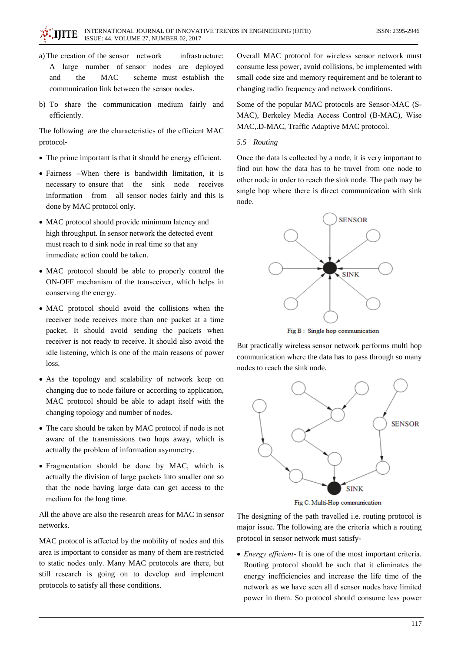- a) The creation of the sensor network infrastructure: large number of sensor nodes are deployed  $\mathsf{A}$ and the **MAC** scheme must establish the communication link between the sensor nodes.
- b) To share the communication medium fairly and efficiently.

The following are the characteristics of the efficient MAC protocol-

- The prime important is that it should be energy efficient.
- Fairness -When there is bandwidth limitation, it is necessary to ensure that the sink node receives information from all sensor nodes fairly and this is done by MAC protocol only.
- MAC protocol should provide minimum latency and high throughput. In sensor network the detected event must reach to d sink node in real time so that any immediate action could be taken.
- MAC protocol should be able to properly control the ON-OFF mechanism of the transceiver, which helps in conserving the energy.
- · MAC protocol should avoid the collisions when the receiver node receives more than one packet at a time packet. It should avoid sending the packets when receiver is not ready to receive. It should also avoid the idle listening, which is one of the main reasons of power loss.
- As the topology and scalability of network keep on changing due to node failure or according to application, MAC protocol should be able to adapt itself with the changing topology and number of nodes.
- The care should be taken by MAC protocol if node is not aware of the transmissions two hops away, which is actually the problem of information asymmetry.
- Fragmentation should be done by MAC, which is actually the division of large packets into smaller one so that the node having large data can get access to the medium for the long time.

All the above are also the research areas for MAC in sensor networks.

MAC protocol is affected by the mobility of nodes and this area is important to consider as many of them are restricted to static nodes only. Many MAC protocols are there, but still research is going on to develop and implement protocols to satisfy all these conditions.

Overall MAC protocol for wireless sensor network must consume less power, avoid collisions, be implemented with small code size and memory requirement and be tolerant to changing radio frequency and network conditions.

Some of the popular MAC protocols are Sensor-MAC (S-MAC), Berkeley Media Access Control (B-MAC), Wise MAC, D-MAC, Traffic Adaptive MAC protocol.

## 5.5 Routing

Once the data is collected by a node, it is very important to find out how the data has to be travel from one node to other node in order to reach the sink node. The path may be single hop where there is direct communication with sink node.



Fig B: Single hop communication

But practically wireless sensor network performs multi hop communication where the data has to pass through so many nodes to reach the sink node.



Fig C: Multi-Hop communication

The designing of the path travelled *i.e.* routing protocol is major issue. The following are the criteria which a routing protocol in sensor network must satisfy-

• *Energy efficient*- It is one of the most important criteria. Routing protocol should be such that it eliminates the energy inefficiencies and increase the life time of the network as we have seen all d sensor nodes have limited power in them. So protocol should consume less power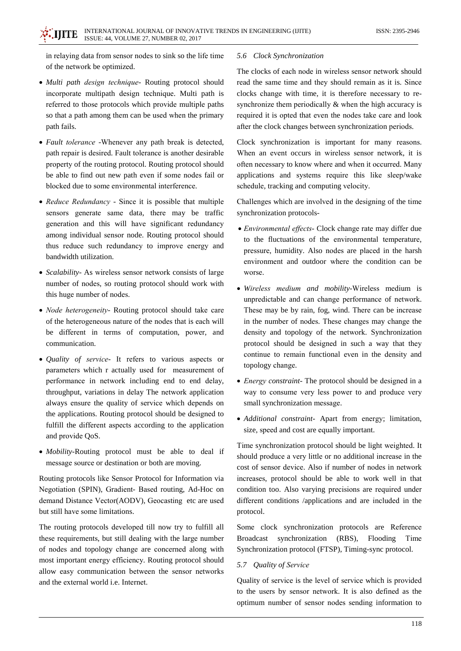in relaying data from sensor nodes to sink so the life time of the network be optimized.

- Multi path design technique- Routing protocol should incorporate multipath design technique. Multi path is referred to those protocols which provide multiple paths so that a path among them can be used when the primary path fails.
- Fault tolerance -Whenever any path break is detected, path repair is desired. Fault tolerance is another desirable property of the routing protocol. Routing protocol should be able to find out new path even if some nodes fail or blocked due to some environmental interference.
- Reduce Redundancy Since it is possible that multiple sensors generate same data, there may be traffic generation and this will have significant redundancy among individual sensor node. Routing protocol should thus reduce such redundancy to improve energy and bandwidth utilization.
- Scalability- As wireless sensor network consists of large number of nodes, so routing protocol should work with this huge number of nodes.
- Node heterogeneity- Routing protocol should take care of the heterogeneous nature of the nodes that is each will be different in terms of computation, power, and communication.
- · Quality of service- It refers to various aspects or parameters which r actually used for measurement of performance in network including end to end delay, throughput, variations in delay The network application always ensure the quality of service which depends on the applications. Routing protocol should be designed to fulfill the different aspects according to the application and provide OoS.
- Mobility-Routing protocol must be able to deal if message source or destination or both are moving.

Routing protocols like Sensor Protocol for Information via Negotiation (SPIN), Gradient- Based routing, Ad-Hoc on demand Distance Vector(AODV), Geocasting etc are used but still have some limitations.

The routing protocols developed till now try to fulfill all these requirements, but still dealing with the large number of nodes and topology change are concerned along with most important energy efficiency. Routing protocol should allow easy communication between the sensor networks and the external world *i.e.* Internet.

## 5.6 Clock Synchronization

The clocks of each node in wireless sensor network should read the same time and they should remain as it is. Since clocks change with time, it is therefore necessary to resynchronize them periodically  $\&$  when the high accuracy is required it is opted that even the nodes take care and look after the clock changes between synchronization periods.

Clock synchronization is important for many reasons. When an event occurs in wireless sensor network, it is often necessary to know where and when it occurred. Many applications and systems require this like sleep/wake schedule, tracking and computing velocity.

Challenges which are involved in the designing of the time synchronization protocols-

- Environmental effects- Clock change rate may differ due to the fluctuations of the environmental temperature, pressure, humidity. Also nodes are placed in the harsh environment and outdoor where the condition can be worse.
- Wireless medium and mobility-Wireless medium is unpredictable and can change performance of network. These may be by rain, fog, wind. There can be increase in the number of nodes. These changes may change the density and topology of the network. Synchronization protocol should be designed in such a way that they continue to remain functional even in the density and topology change.
- *Energy constraint* The protocol should be designed in a way to consume very less power to and produce very small synchronization message.
- · Additional constraint- Apart from energy; limitation, size, speed and cost are equally important.

Time synchronization protocol should be light weighted. It should produce a very little or no additional increase in the cost of sensor device. Also if number of nodes in network increases, protocol should be able to work well in that condition too. Also varying precisions are required under different conditions /applications and are included in the protocol.

Some clock synchronization protocols are Reference synchronization **Broadcast**  $(RBS)$ , Flooding Time Synchronization protocol (FTSP), Timing-sync protocol.

## 5.7 Quality of Service

Quality of service is the level of service which is provided to the users by sensor network. It is also defined as the optimum number of sensor nodes sending information to